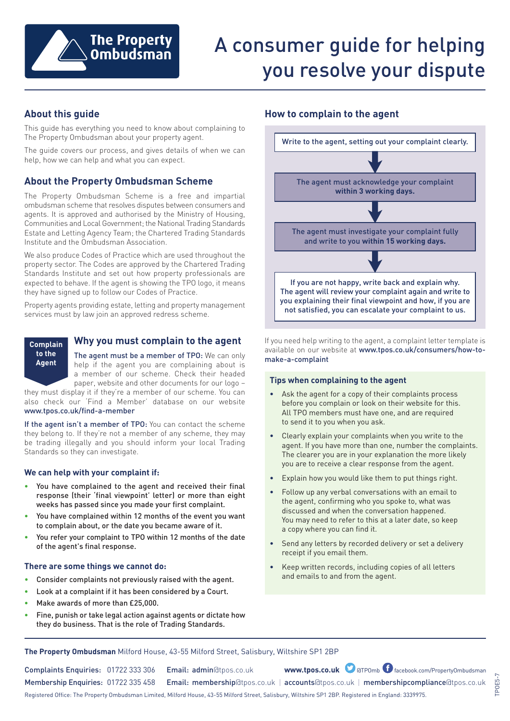

# A consumer guide for helping you resolve your dispute

# **About this guide**

This guide has everything you need to know about complaining to The Property Ombudsman about your property agent.

The guide covers our process, and gives details of when we can help, how we can help and what you can expect.

# **About the Property Ombudsman Scheme**

The Property Ombudsman Scheme is a free and impartial ombudsman scheme that resolves disputes between consumers and agents. It is approved and authorised by the Ministry of Housing, Communities and Local Government; the National Trading Standards Estate and Letting Agency Team; the Chartered Trading Standards Institute and the Ombudsman Association.

We also produce Codes of Practice which are used throughout the property sector. The Codes are approved by the Chartered Trading Standards Institute and set out how property professionals are expected to behave. If the agent is showing the TPO logo, it means they have signed up to follow our Codes of Practice.

Property agents providing estate, letting and property management services must by law join an approved redress scheme.



## **Why you must complain to the agent**

The agent must be a member of TPO: We can only help if the agent you are complaining about is a member of our scheme. Check their headed paper, website and other documents for our logo –

they must display it if they're a member of our scheme. You can also check our 'Find a Member' database on our website www.tpos.co.uk/find-a-member

If the agent isn't a member of TPO: You can contact the scheme they belong to. If they're not a member of any scheme, they may be trading illegally and you should inform your local Trading Standards so they can investigate.

#### **We can help with your complaint if:**

- You have complained to the agent and received their final response (their 'final viewpoint' letter) or more than eight weeks has passed since you made your first complaint.
- You have complained within 12 months of the event you want to complain about, or the date you became aware of it.
- You refer your complaint to TPO within 12 months of the date of the agent's final response.

#### **There are some things we cannot do:**

- Consider complaints not previously raised with the agent.
- Look at a complaint if it has been considered by a Court.
- Make awards of more than £25,000.
- Fine, punish or take legal action against agents or dictate how they do business. That is the role of Trading Standards.

## **How to complain to the agent**



If you need help writing to the agent, a complaint letter template is available on our website at www.tpos.co.uk/consumers/how-tomake-a-complaint

#### **Tips when complaining to the agent**

- Ask the agent for a copy of their complaints process before you complain or look on their website for this. All TPO members must have one, and are required to send it to you when you ask.
- Clearly explain your complaints when you write to the agent. If you have more than one, number the complaints. The clearer you are in your explanation the more likely you are to receive a clear response from the agent.
- Explain how you would like them to put things right.
- Follow up any verbal conversations with an email to the agent, confirming who you spoke to, what was discussed and when the conversation happened. You may need to refer to this at a later date, so keep a copy where you can find it.
- Send any letters by recorded delivery or set a delivery receipt if you email them.
- Keep written records, including copies of all letters and emails to and from the agent.

**The Property Ombudsman** Milford House, 43-55 Milford Street, Salisbury, Wiltshire SP1 2BP

Complaints Enquiries: 01722 333 306 Email: admin@tpos.co.uk **www.tpos.co.uk**

www.tpos.co.uk **D** at POmb facebook.com/PropertyOmbudsman

Membership Enquiries: 01722 335 458 Email: membership@tpos.co.uk | accounts@tpos.co.uk | membershipcompliance@tpos.co.uk

Registered Office: The Property Ombudsman Limited, Milford House, 43-55 Milford Street, Salisbury, Wiltshire SP1 2BP. Registered in England: 3339975.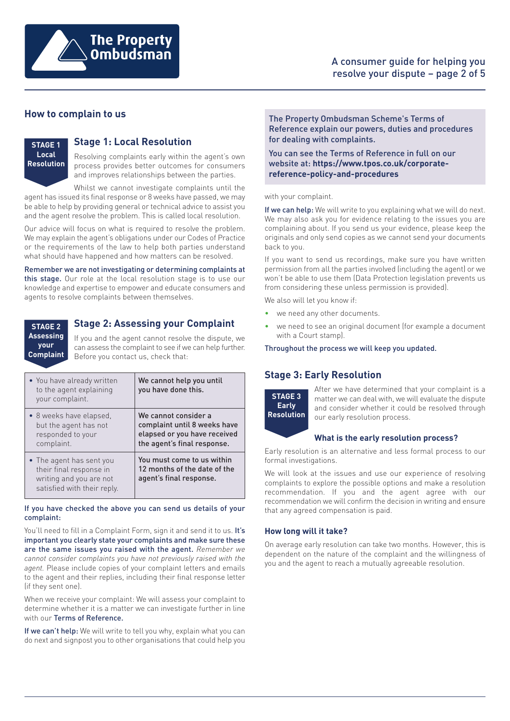

## A consumer guide for helping you resolve your dispute – page 2 of 5

## **How to complain to us**

**STAGE 1 Local Resolution**

## **Stage 1: Local Resolution**

Resolving complaints early within the agent's own process provides better outcomes for consumers and improves relationships between the parties.

Whilst we cannot investigate complaints until the agent has issued its final response or 8 weeks have passed, we may be able to help by providing general or technical advice to assist you and the agent resolve the problem. This is called local resolution.

Our advice will focus on what is required to resolve the problem. We may explain the agent's obligations under our Codes of Practice or the requirements of the law to help both parties understand what should have happened and how matters can be resolved.

Remember we are not investigating or determining complaints at this stage. Our role at the local resolution stage is to use our knowledge and expertise to empower and educate consumers and agents to resolve complaints between themselves.

**STAGE 2 Assessing your**

**Complaint**

# **Stage 2: Assessing your Complaint**

If you and the agent cannot resolve the dispute, we can assess the complaint to see if we can help further. Before you contact us, check that:

| • You have already written<br>to the agent explaining<br>your complaint.                                      | We cannot help you until<br>you have done this.                                                                     |
|---------------------------------------------------------------------------------------------------------------|---------------------------------------------------------------------------------------------------------------------|
| • 8 weeks have elapsed,<br>but the agent has not<br>responded to your<br>complaint.                           | We cannot consider a<br>complaint until 8 weeks have<br>elapsed or you have received<br>the agent's final response. |
| • The agent has sent you<br>their final response in<br>writing and you are not<br>satisfied with their reply. | You must come to us within<br>12 months of the date of the<br>agent's final response.                               |

#### If you have checked the above you can send us details of your complaint:

You'll need to fill in a Complaint Form, sign it and send it to us. It's important you clearly state your complaints and make sure these are the same issues you raised with the agent. *Remember we cannot consider complaints you have not previously raised with the agent.* Please include copies of your complaint letters and emails to the agent and their replies, including their final response letter (if they sent one).

When we receive your complaint: We will assess your complaint to determine whether it is a matter we can investigate further in line with our Terms of Reference.

If we can't help: We will write to tell you why, explain what you can do next and signpost you to other organisations that could help you The Property Ombudsman Scheme's Terms of Reference explain our powers, duties and procedures for dealing with complaints.

You can see the Terms of Reference in full on our website at: **https://www.tpos.co.uk/corporatereference-policy-and-procedures**

#### with your complaint.

If we can help: We will write to you explaining what we will do next. We may also ask you for evidence relating to the issues you are complaining about. If you send us your evidence, please keep the originals and only send copies as we cannot send your documents back to you.

If you want to send us recordings, make sure you have written permission from all the parties involved (including the agent) or we won't be able to use them (Data Protection legislation prevents us from considering these unless permission is provided).

We also will let you know if:

- we need any other documents.
- we need to see an original document (for example a document with a Court stamp).

Throughout the process we will keep you updated.

# **Stage 3: Early Resolution**



After we have determined that your complaint is a matter we can deal with, we will evaluate the dispute and consider whether it could be resolved through our early resolution process.

#### **What is the early resolution process?**

Early resolution is an alternative and less formal process to our formal investigations.

We will look at the issues and use our experience of resolving complaints to explore the possible options and make a resolution recommendation. If you and the agent agree with our recommendation we will confirm the decision in writing and ensure that any agreed compensation is paid.

## **How long will it take?**

On average early resolution can take two months. However, this is dependent on the nature of the complaint and the willingness of you and the agent to reach a mutually agreeable resolution.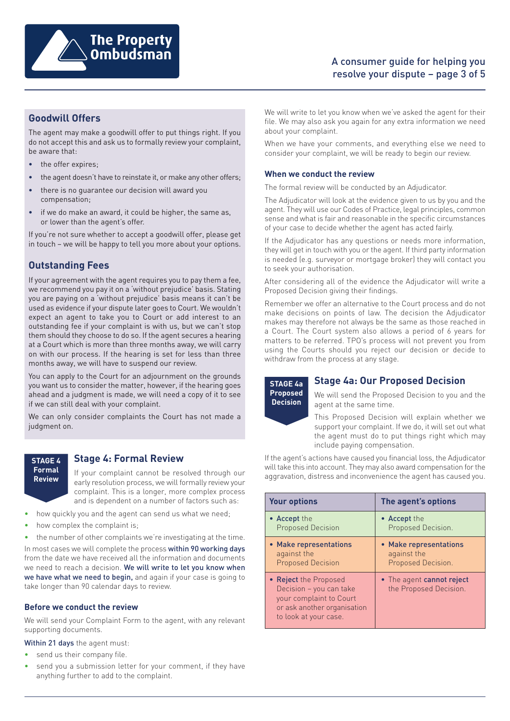

# **Goodwill Offers**

The agent may make a goodwill offer to put things right. If you do not accept this and ask us to formally review your complaint, be aware that:

- the offer expires;
- the agent doesn't have to reinstate it, or make any other offers;
- there is no guarantee our decision will award you compensation;
- if we do make an award, it could be higher, the same as, or lower than the agent's offer.

If you're not sure whether to accept a goodwill offer, please get in touch – we will be happy to tell you more about your options.

# **Outstanding Fees**

If your agreement with the agent requires you to pay them a fee, we recommend you pay it on a 'without prejudice' basis. Stating you are paying on a 'without prejudice' basis means it can't be used as evidence if your dispute later goes to Court. We wouldn't expect an agent to take you to Court or add interest to an outstanding fee if your complaint is with us, but we can't stop them should they choose to do so. If the agent secures a hearing at a Court which is more than three months away, we will carry on with our process. If the hearing is set for less than three months away, we will have to suspend our review.

You can apply to the Court for an adjournment on the grounds you want us to consider the matter, however, if the hearing goes ahead and a judgment is made, we will need a copy of it to see if we can still deal with your complaint.

We can only consider complaints the Court has not made a judgment on.



## **Stage 4: Formal Review**

If your complaint cannot be resolved through our early resolution process, we will formally review your complaint. This is a longer, more complex process and is dependent on a number of factors such as:

- how quickly you and the agent can send us what we need;
- how complex the complaint is;
- the number of other complaints we're investigating at the time.

In most cases we will complete the process within 90 working days from the date we have received all the information and documents we need to reach a decision. We will write to let you know when we have what we need to begin, and again if your case is going to take longer than 90 calendar days to review.

#### **Before we conduct the review**

We will send your Complaint Form to the agent, with any relevant supporting documents.

Within 21 days the agent must:

- send us their company file.
- send you a submission letter for your comment, if they have anything further to add to the complaint.

We will write to let you know when we've asked the agent for their file. We may also ask you again for any extra information we need about your complaint.

When we have your comments, and everything else we need to consider your complaint, we will be ready to begin our review.

#### **When we conduct the review**

The formal review will be conducted by an Adjudicator.

The Adjudicator will look at the evidence given to us by you and the agent. They will use our Codes of Practice, legal principles, common sense and what is fair and reasonable in the specific circumstances of your case to decide whether the agent has acted fairly.

If the Adjudicator has any questions or needs more information, they will get in touch with you or the agent. If third party information is needed (e.g. surveyor or mortgage broker) they will contact you to seek your authorisation.

After considering all of the evidence the Adjudicator will write a Proposed Decision giving their findings.

Remember we offer an alternative to the Court process and do not make decisions on points of law. The decision the Adjudicator makes may therefore not always be the same as those reached in a Court. The Court system also allows a period of 6 years for matters to be referred. TPO's process will not prevent you from using the Courts should you reject our decision or decide to withdraw from the process at any stage.



## **Stage 4a: Our Proposed Decision**

We will send the Proposed Decision to you and the agent at the same time.

This Proposed Decision will explain whether we support your complaint. If we do, it will set out what the agent must do to put things right which may include paying compensation.

If the agent's actions have caused you financial loss, the Adjudicator will take this into account. They may also award compensation for the aggravation, distress and inconvenience the agent has caused you.

| <b>Your options</b>                                                                                                                 | The agent's options                                 |  |
|-------------------------------------------------------------------------------------------------------------------------------------|-----------------------------------------------------|--|
| • Accept the                                                                                                                        | • Accept the                                        |  |
| <b>Proposed Decision</b>                                                                                                            | Proposed Decision.                                  |  |
| • Make representations                                                                                                              | • Make representations                              |  |
| against the                                                                                                                         | against the                                         |  |
| <b>Proposed Decision</b>                                                                                                            | Proposed Decision.                                  |  |
| • Reject the Proposed<br>Decision – you can take<br>your complaint to Court<br>or ask another organisation<br>to look at your case. | • The agent cannot reject<br>the Proposed Decision. |  |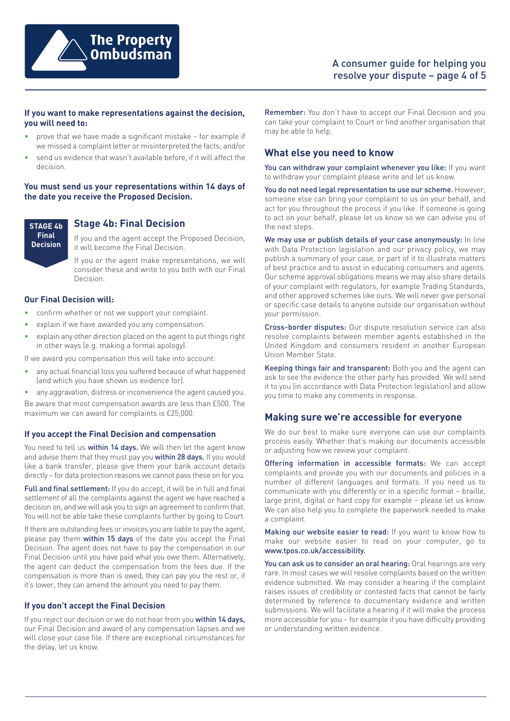

## **If you want to make representations against the decision, you will need to:**

- prove that we have made a significant mistake for example if we missed a complaint letter or misinterpreted the facts; and/or
- send us evidence that wasn't available before, if it will affect the decision.

#### **You must send us your representations within 14 days of the date you receive the Proposed Decision.**

**STAGE 4b Final Decision**

**Stage 4b: Final Decision**

If you and the agent accept the Proposed Decision, it will become the Final Decision.

If you or the agent make representations, we will consider these and write to you both with our Final Decision.

#### **Our Final Decision will:**

- confirm whether or not we support your complaint.
- explain if we have awarded you any compensation.
- explain any other direction placed on the agent to put things right in other ways (e.g. making a formal apology).

If we award you compensation this will take into account:

- any actual financial loss you suffered because of what happened (and which you have shown us evidence for).
- any aggravation, distress or inconvenience the agent caused you.

Be aware that most compensation awards are less than £500. The maximum we can award for complaints is £25,000.

#### **If you accept the Final Decision and compensation**

You need to tell us within 14 days. We will then let the agent know and advise them that they must pay you within 28 days. If you would like a bank transfer, please give them your bank account details directly – for data protection reasons we cannot pass these on for you.

Full and final settlement: If you do accept, it will be in full and final settlement of all the complaints against the agent we have reached a decision on, and we will ask you to sign an agreement to confirm that. You will not be able take these complaints further by going to Court.

If there are outstanding fees or invoices you are liable to pay the agent, please pay them within 15 days of the date you accept the Final Decision. The agent does not have to pay the compensation in our Final Decision until you have paid what you owe them. Alternatively, the agent can deduct the compensation from the fees due. If the compensation is more than is owed, they can pay you the rest or, if it's lower, they can amend the amount you need to pay them.

## **If you don't accept the Final Decision**

If you reject our decision or we do not hear from you within 14 days, our Final Decision and award of any compensation lapses and we will close your case file. If there are exceptional circumstances for the delay, let us know.

Remember: You don't have to accept our Final Decision and you can take your complaint to Court or find another organisation that may be able to help.

# **What else you need to know**

You can withdraw your complaint whenever you like: If you want to withdraw your complaint please write and let us know.

You do not need legal representation to use our scheme. However, someone else can bring your complaint to us on your behalf, and act for you throughout the process if you like. If someone is going to act on your behalf, please let us know so we can advise you of the next steps.

We may use or publish details of your case anonymously: In line with Data Protection legislation and our privacy policy, we may publish a summary of your case, or part of it to illustrate matters of best practice and to assist in educating consumers and agents. Our scheme approval obligations means we may also share details of your complaint with regulators, for example Trading Standards, and other approved schemes like ours. We will never give personal or specific case details to anyone outside our organisation without your permission.

Cross-border disputes: Our dispute resolution service can also resolve complaints between member agents established in the United Kingdom and consumers resident in another European Union Member State.

Keeping things fair and transparent: Both you and the agent can ask to see the evidence the other party has provided. We will send it to you (in accordance with Data Protection legislation) and allow you time to make any comments in response.

## **Making sure we're accessible for everyone**

We do our best to make sure everyone can use our complaints process easily. Whether that's making our documents accessible or adjusting how we review your complaint.

Offering information in accessible formats: We can accept complaints and provide you with our documents and policies in a number of different languages and formats. If you need us to communicate with you differently or in a specific format – braille, large print, digital or hard copy for example – please let us know. We can also help you to complete the paperwork needed to make a complaint.

Making our website easier to read: If you want to know how to make our website easier to read on your computer, go to www.tpos.co.uk/accessibility.

You can ask us to consider an oral hearing: Oral hearings are very rare. In most cases we will resolve complaints based on the written evidence submitted. We may consider a hearing if the complaint raises issues of credibility or contested facts that cannot be fairly determined by reference to documentary evidence and written submissions. We will facilitate a hearing if it will make the process more accessible for you – for example if you have difficulty providing or understanding written evidence.